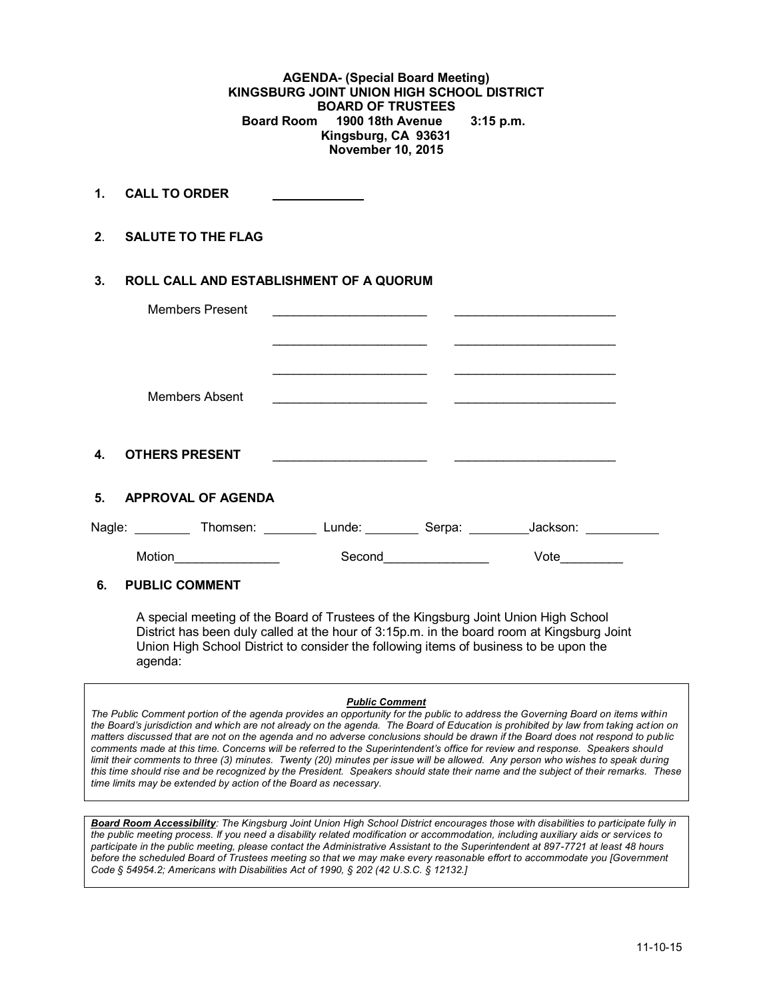**AGENDA- (Special Board Meeting) KINGSBURG JOINT UNION HIGH SCHOOL DISTRICT BOARD OF TRUSTEES Board Room 1900 18th Avenue 3:15 p.m. Kingsburg, CA 93631 November 10, 2015**

**1. CALL TO ORDER** 

**2**. **SALUTE TO THE FLAG**

## **3. ROLL CALL AND ESTABLISHMENT OF A QUORUM**

|    | <b>Members Present</b> |                                                                                                                      |          |  |
|----|------------------------|----------------------------------------------------------------------------------------------------------------------|----------|--|
|    | Members Absent         | <u> 1989 - Johann John Stone, markin film yn y sefydlu yn y gwysiad y ganllawydd y ganllawydd y ganllawydd y gyn</u> |          |  |
| 4. | <b>OTHERS PRESENT</b>  |                                                                                                                      |          |  |
|    | 5. APPROVAL OF AGENDA  |                                                                                                                      |          |  |
|    |                        | Nagle: ___________Thomsen: ___________ Lunde: __________ Serpa: _________                                            | Jackson: |  |
|    | Motion                 | Second                                                                                                               | Vote     |  |

## **6. PUBLIC COMMENT**

A special meeting of the Board of Trustees of the Kingsburg Joint Union High School District has been duly called at the hour of 3:15p.m. in the board room at Kingsburg Joint Union High School District to consider the following items of business to be upon the agenda:

#### *Public Comment*

*The Public Comment portion of the agenda provides an opportunity for the public to address the Governing Board on items within the Board's jurisdiction and which are not already on the agenda. The Board of Education is prohibited by law from taking action on matters discussed that are not on the agenda and no adverse conclusions should be drawn if the Board does not respond to public comments made at this time. Concerns will be referred to the Superintendent's office for review and response. Speakers should limit their comments to three (3) minutes. Twenty (20) minutes per issue will be allowed. Any person who wishes to speak during this time should rise and be recognized by the President. Speakers should state their name and the subject of their remarks. These time limits may be extended by action of the Board as necessary.*

*Board Room Accessibility: The Kingsburg Joint Union High School District encourages those with disabilities to participate fully in the public meeting process. If you need a disability related modification or accommodation, including auxiliary aids or services to participate in the public meeting, please contact the Administrative Assistant to the Superintendent at 897-7721 at least 48 hours before the scheduled Board of Trustees meeting so that we may make every reasonable effort to accommodate you [Government Code § 54954.2; Americans with Disabilities Act of 1990, § 202 (42 U.S.C. § 12132.]*